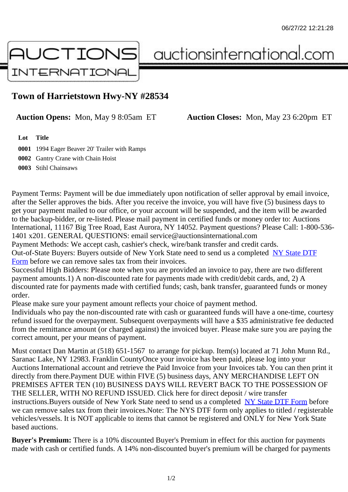## Town of Harrietstown Hwy-NY #28534

Auction Opens: Mon, May 9 8:05am ET Auction Closes: Mon, May 23 6:20pm ET

Lot Title

0001 1994 Eager Beaver 20' Trailer with Ramps 0002 Gantry Crane with Chain Hoist 0003 Stihl Chainsaws

Payment Terms: Payment will be due immediately upon notification of seller approval by email invoice, after the Seller approves the bids. After you receive the invoice, you will have five (5) business days to get your payment mailed to our office, or your account will be suspended, and the item will be awarded to the backup-bidder, or re-listed. Please mail payment in certified funds or money order to: Auctions International, 11167 Big Tree Road, East Aurora, NY 14052. Payment questions? Please Call: 1-800-53 1401 x201. GENERAL QUESTIONS: email service@auctionsinternational.com

Payment Methods: We accept cash, cashier's check, wire/bank transfer and credit cards. Out-of-State Buyers: Buyers outside of New York State need to send us a com blestate DTF Form before we can remove sales tax from their invoices.

Successful High Bidders: Please note when you are provided an invoice to pay, there are two different payment amounts.1) A non-discounted rate for payments made with credit/de[bit cards, and](https://www.auctionsinternational.com/auxiliary/downloads/DTF_Form/dtf_fill_in.pdf), 2) A [disco](https://www.auctionsinternational.com/auxiliary/downloads/DTF_Form/dtf_fill_in.pdf)unted rate for payments made with certified funds; cash, bank transfer, quaranteed funds or mone order.

Please make sure your payment amount reflects your choice of payment method.

Individuals who pay the non-discounted rate with cash or quaranteed funds will have a one-time, courte refund issued for the overpayment. Subsequent overpayments will have a \$35 administrative fee deduc from the remittance amount (or charged against) the invoiced buyer. Please make sure you are paying correct amount, per your means of payment.

Must contact Dan Martin at (518) 651-1567 to arrange for pickup. Item(s) located at 71 John Munn Rd., Saranac Lake, NY 12983. Franklin CountyOnce your invoice has been paid, please log into your Auctions International account and retrieve the Paid Invoice from your Invoices tab. You can then print it directly from there.Payment DUE within FIVE (5) business days, ANY MERCHANDISE LEFT ON PREMISES AFTER TEN (10) BUSINESS DAYS WILL REVERT BACK TO THE POSSESSION OF THE SELLER, WITH NO REFUND ISSUED. Click here for direct deposit / wire transfer instructions. Buyers outside of New York State need to send us a combletedate DTF Form before we can remove sales tax from their invoices.Note: The NYS DTF form only applies to titled / registerabl vehicles/vessels. It is NOT applicable to items that cannot be registered and ONLY for New York State based auctions.

Buyer's Premium: There is a 10% discounted Buyer's Premium in effect for this auction for payments made with cash or certified funds. A 14% non-discounted buyer's premium will be charged for payments